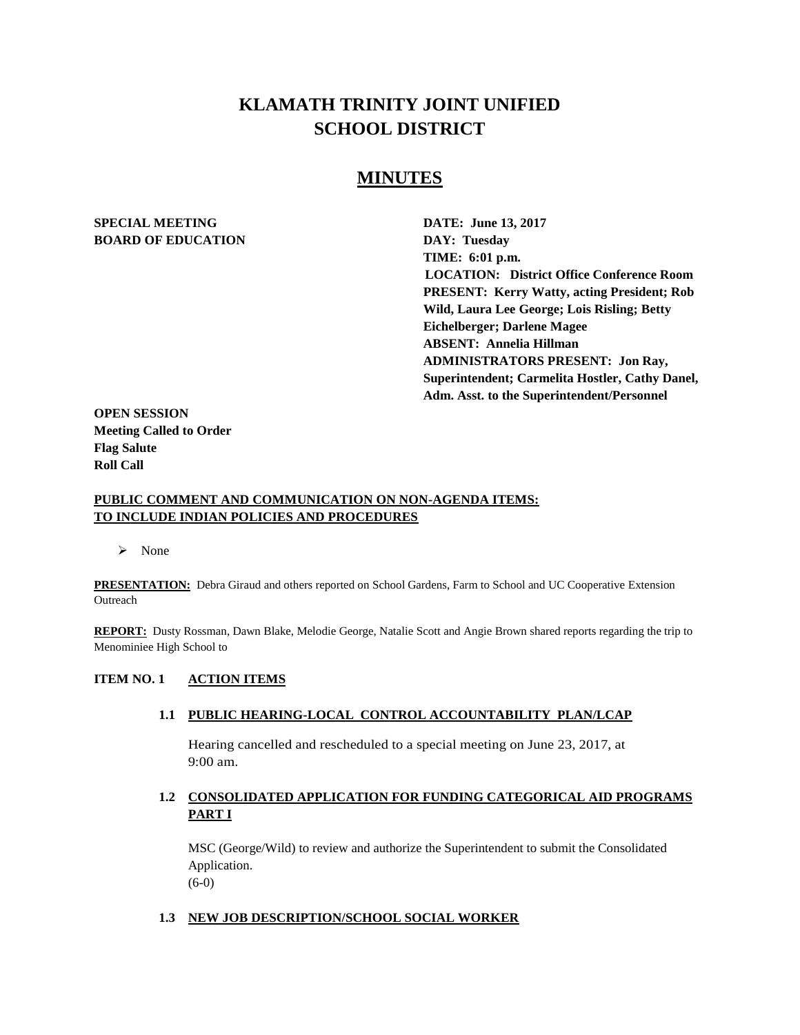# **KLAMATH TRINITY JOINT UNIFIED SCHOOL DISTRICT**

# **MINUTES**

# **SPECIAL MEETING DATE: June 13, 2017 BOARD OF EDUCATION DAY: Tuesday**

**TIME: 6:01 p.m. LOCATION: District Office Conference Room PRESENT: Kerry Watty, acting President; Rob Wild, Laura Lee George; Lois Risling; Betty Eichelberger; Darlene Magee ABSENT: Annelia Hillman ADMINISTRATORS PRESENT: Jon Ray, Superintendent; Carmelita Hostler, Cathy Danel, Adm. Asst. to the Superintendent/Personnel** 

**OPEN SESSION Meeting Called to Order Flag Salute Roll Call**

# **PUBLIC COMMENT AND COMMUNICATION ON NON-AGENDA ITEMS: TO INCLUDE INDIAN POLICIES AND PROCEDURES**

> None

**PRESENTATION:** Debra Giraud and others reported on School Gardens, Farm to School and UC Cooperative Extension **Outreach** 

**REPORT:** Dusty Rossman, Dawn Blake, Melodie George, Natalie Scott and Angie Brown shared reports regarding the trip to Menominiee High School to

#### **ITEM NO. 1 ACTION ITEMS**

**1.1 PUBLIC HEARING-LOCAL CONTROL ACCOUNTABILITY PLAN/LCAP**

Hearing cancelled and rescheduled to a special meeting on June 23, 2017, at 9:00 am.

# **1.2 CONSOLIDATED APPLICATION FOR FUNDING CATEGORICAL AID PROGRAMS PART I**

MSC (George/Wild) to review and authorize the Superintendent to submit the Consolidated Application. (6-0)

#### **1.3 NEW JOB DESCRIPTION/SCHOOL SOCIAL WORKER**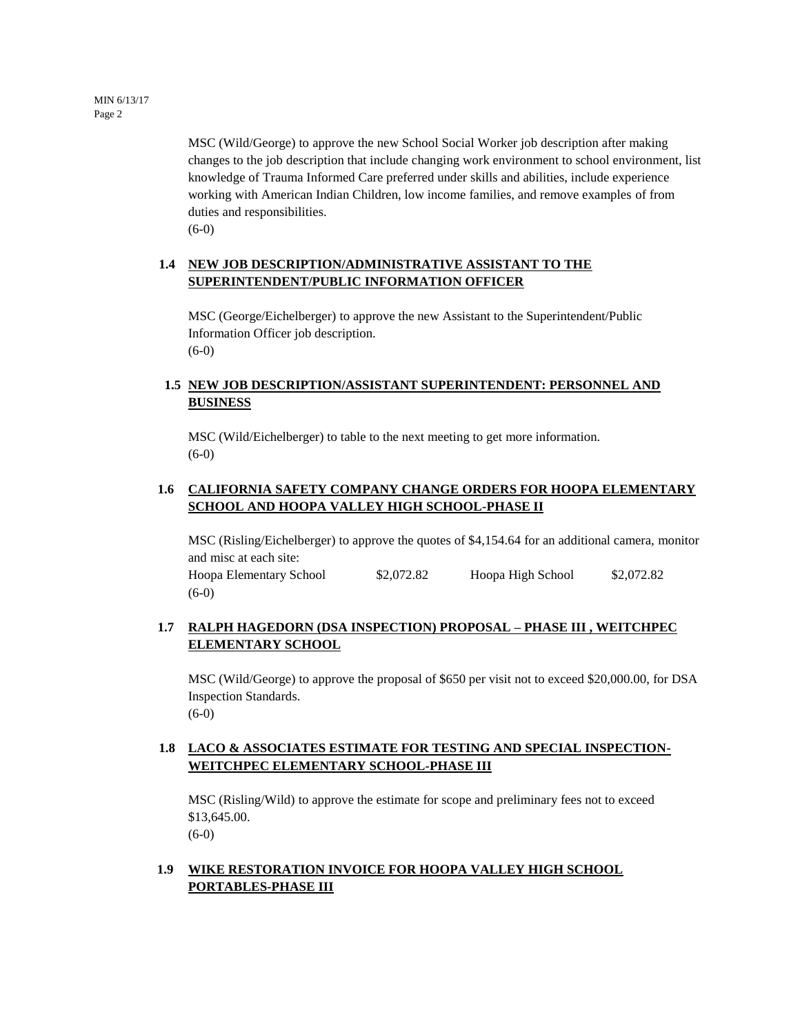MSC (Wild/George) to approve the new School Social Worker job description after making changes to the job description that include changing work environment to school environment, list knowledge of Trauma Informed Care preferred under skills and abilities, include experience working with American Indian Children, low income families, and remove examples of from duties and responsibilities.

(6-0)

# **1.4 NEW JOB DESCRIPTION/ADMINISTRATIVE ASSISTANT TO THE SUPERINTENDENT/PUBLIC INFORMATION OFFICER**

MSC (George/Eichelberger) to approve the new Assistant to the Superintendent/Public Information Officer job description. (6-0)

# **1.5 NEW JOB DESCRIPTION/ASSISTANT SUPERINTENDENT: PERSONNEL AND BUSINESS**

MSC (Wild/Eichelberger) to table to the next meeting to get more information. (6-0)

# **1.6 CALIFORNIA SAFETY COMPANY CHANGE ORDERS FOR HOOPA ELEMENTARY SCHOOL AND HOOPA VALLEY HIGH SCHOOL-PHASE II**

MSC (Risling/Eichelberger) to approve the quotes of \$4,154.64 for an additional camera, monitor and misc at each site: Hoopa Elementary School \$2,072.82 Hoopa High School \$2,072.82

# **1.7 RALPH HAGEDORN (DSA INSPECTION) PROPOSAL – PHASE III , WEITCHPEC ELEMENTARY SCHOOL**

MSC (Wild/George) to approve the proposal of \$650 per visit not to exceed \$20,000.00, for DSA Inspection Standards. (6-0)

# **1.8 LACO & ASSOCIATES ESTIMATE FOR TESTING AND SPECIAL INSPECTION-WEITCHPEC ELEMENTARY SCHOOL-PHASE III**

MSC (Risling/Wild) to approve the estimate for scope and preliminary fees not to exceed \$13,645.00.

(6-0)

(6-0)

# **1.9 WIKE RESTORATION INVOICE FOR HOOPA VALLEY HIGH SCHOOL PORTABLES-PHASE III**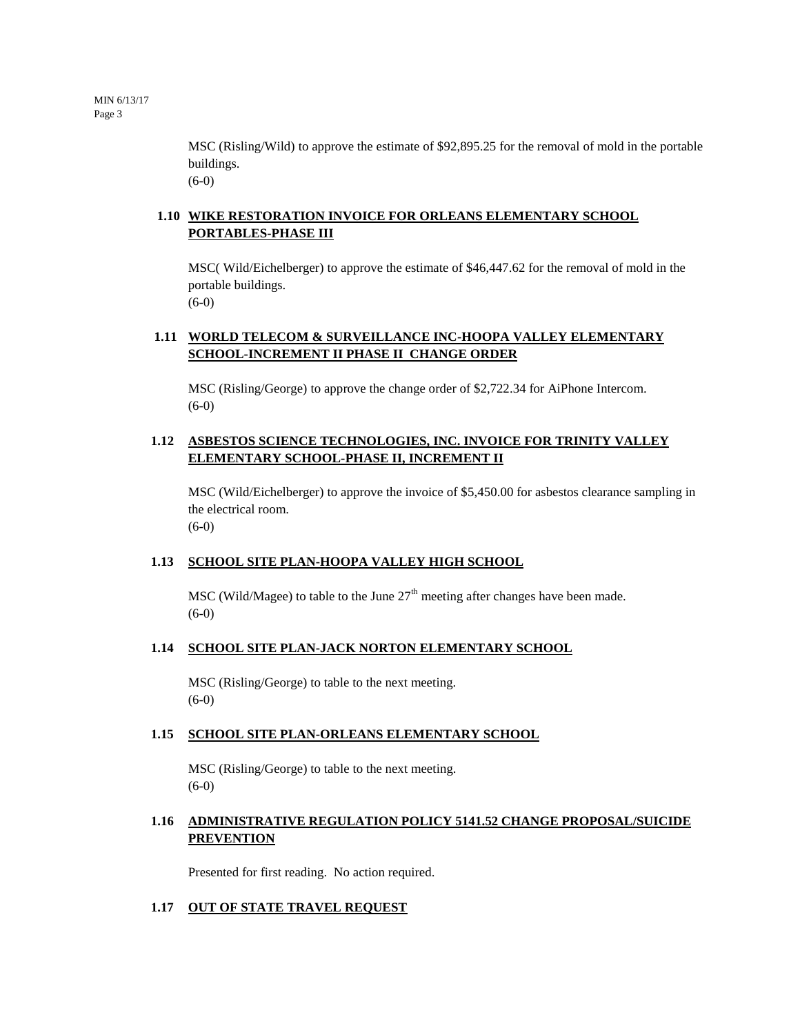MSC (Risling/Wild) to approve the estimate of \$92,895.25 for the removal of mold in the portable buildings. (6-0)

# **1.10 WIKE RESTORATION INVOICE FOR ORLEANS ELEMENTARY SCHOOL PORTABLES-PHASE III**

MSC( Wild/Eichelberger) to approve the estimate of \$46,447.62 for the removal of mold in the portable buildings. (6-0)

# **1.11 WORLD TELECOM & SURVEILLANCE INC-HOOPA VALLEY ELEMENTARY SCHOOL-INCREMENT II PHASE II CHANGE ORDER**

MSC (Risling/George) to approve the change order of \$2,722.34 for AiPhone Intercom.  $(6-0)$ 

# **1.12 ASBESTOS SCIENCE TECHNOLOGIES, INC. INVOICE FOR TRINITY VALLEY ELEMENTARY SCHOOL-PHASE II, INCREMENT II**

MSC (Wild/Eichelberger) to approve the invoice of \$5,450.00 for asbestos clearance sampling in the electrical room.  $(6-0)$ 

# **1.13 SCHOOL SITE PLAN-HOOPA VALLEY HIGH SCHOOL**

MSC (Wild/Magee) to table to the June  $27<sup>th</sup>$  meeting after changes have been made. (6-0)

#### **1.14 SCHOOL SITE PLAN-JACK NORTON ELEMENTARY SCHOOL**

MSC (Risling/George) to table to the next meeting. (6-0)

#### **1.15 SCHOOL SITE PLAN-ORLEANS ELEMENTARY SCHOOL**

MSC (Risling/George) to table to the next meeting.  $(6-0)$ 

# **1.16 ADMINISTRATIVE REGULATION POLICY 5141.52 CHANGE PROPOSAL/SUICIDE PREVENTION**

Presented for first reading. No action required.

#### **1.17 OUT OF STATE TRAVEL REQUEST**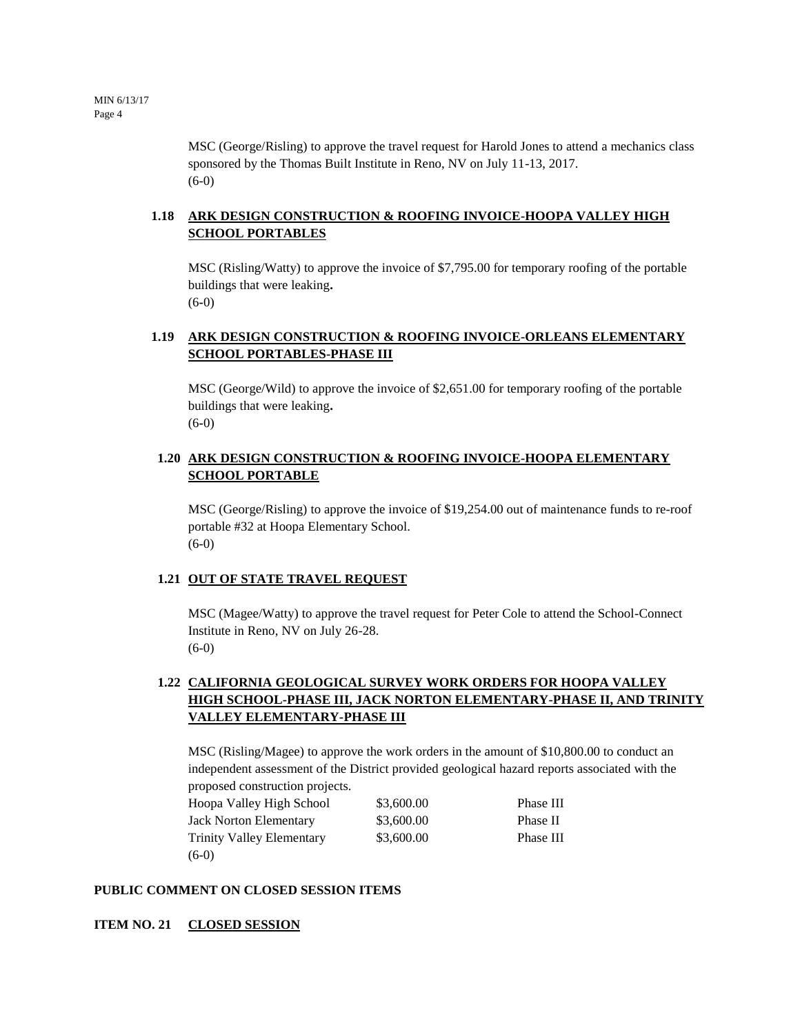MSC (George/Risling) to approve the travel request for Harold Jones to attend a mechanics class sponsored by the Thomas Built Institute in Reno, NV on July 11-13, 2017. (6-0)

# **1.18 ARK DESIGN CONSTRUCTION & ROOFING INVOICE-HOOPA VALLEY HIGH SCHOOL PORTABLES**

MSC (Risling/Watty) to approve the invoice of \$7,795.00 for temporary roofing of the portable buildings that were leaking**.**  (6**-**0)

# **1.19 ARK DESIGN CONSTRUCTION & ROOFING INVOICE-ORLEANS ELEMENTARY SCHOOL PORTABLES-PHASE III**

MSC (George/Wild) to approve the invoice of \$2,651.00 for temporary roofing of the portable buildings that were leaking**.**  (6**-**0)

#### **1.20 ARK DESIGN CONSTRUCTION & ROOFING INVOICE-HOOPA ELEMENTARY SCHOOL PORTABLE**

MSC (George/Risling) to approve the invoice of \$19,254.00 out of maintenance funds to re-roof portable #32 at Hoopa Elementary School. (6-0)

# **1.21 OUT OF STATE TRAVEL REQUEST**

MSC (Magee/Watty) to approve the travel request for Peter Cole to attend the School-Connect Institute in Reno, NV on July 26-28. (6-0)

# **1.22 CALIFORNIA GEOLOGICAL SURVEY WORK ORDERS FOR HOOPA VALLEY HIGH SCHOOL-PHASE III, JACK NORTON ELEMENTARY-PHASE II, AND TRINITY VALLEY ELEMENTARY-PHASE III**

MSC (Risling/Magee) to approve the work orders in the amount of \$10,800.00 to conduct an independent assessment of the District provided geological hazard reports associated with the proposed construction projects.

| and the property of the contract and the contract of the contract of the contract of the contract of the contract of |            |           |
|----------------------------------------------------------------------------------------------------------------------|------------|-----------|
| Hoopa Valley High School                                                                                             | \$3,600.00 | Phase III |
| <b>Jack Norton Elementary</b>                                                                                        | \$3,600.00 | Phase II  |
| <b>Trinity Valley Elementary</b>                                                                                     | \$3,600.00 | Phase III |
| $(6-0)$                                                                                                              |            |           |

#### **PUBLIC COMMENT ON CLOSED SESSION ITEMS**

**ITEM NO. 21 CLOSED SESSION**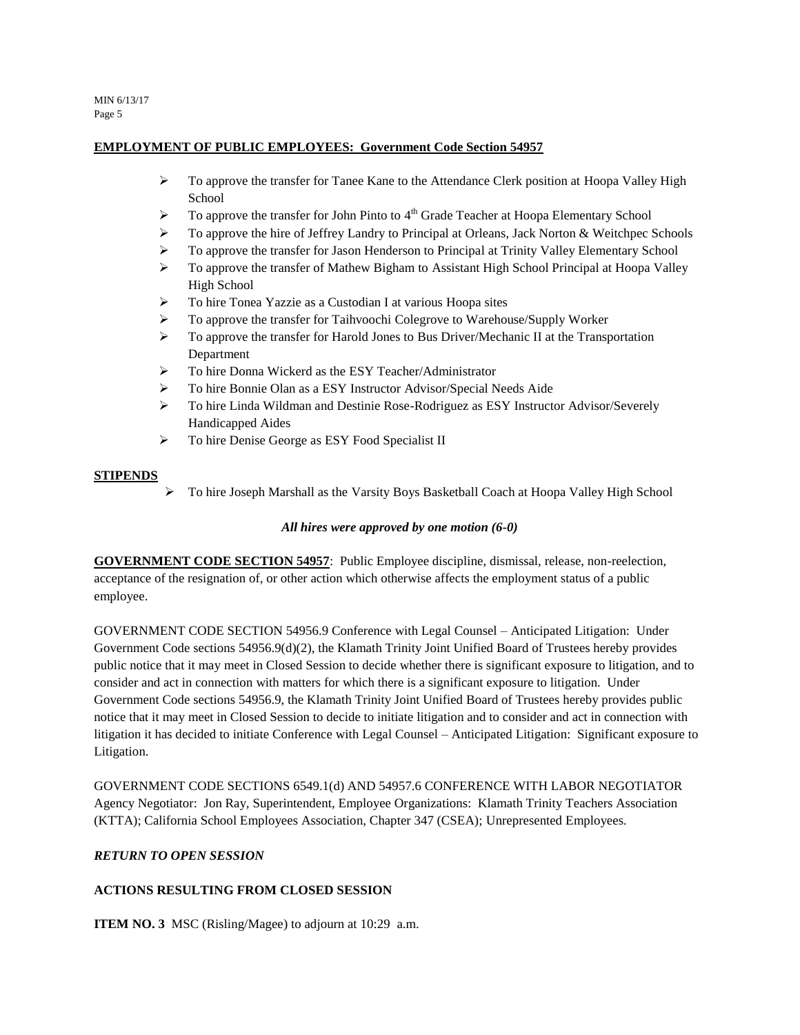MIN 6/13/17 Page 5

#### **EMPLOYMENT OF PUBLIC EMPLOYEES: Government Code Section 54957**

- $\triangleright$  To approve the transfer for Tanee Kane to the Attendance Clerk position at Hoopa Valley High School
- $\triangleright$  To approve the transfer for John Pinto to 4<sup>th</sup> Grade Teacher at Hoopa Elementary School
- $\triangleright$  To approve the hire of Jeffrey Landry to Principal at Orleans, Jack Norton & Weitchpec Schools
- $\triangleright$  To approve the transfer for Jason Henderson to Principal at Trinity Valley Elementary School
- $\triangleright$  To approve the transfer of Mathew Bigham to Assistant High School Principal at Hoopa Valley High School
- To hire Tonea Yazzie as a Custodian I at various Hoopa sites
- To approve the transfer for Taihvoochi Colegrove to Warehouse/Supply Worker
- $\triangleright$  To approve the transfer for Harold Jones to Bus Driver/Mechanic II at the Transportation Department
- To hire Donna Wickerd as the ESY Teacher/Administrator
- To hire Bonnie Olan as a ESY Instructor Advisor/Special Needs Aide
- To hire Linda Wildman and Destinie Rose-Rodriguez as ESY Instructor Advisor/Severely Handicapped Aides
- $\triangleright$  To hire Denise George as ESY Food Specialist II

#### **STIPENDS**

To hire Joseph Marshall as the Varsity Boys Basketball Coach at Hoopa Valley High School

#### *All hires were approved by one motion (6-0)*

**GOVERNMENT CODE SECTION 54957**: Public Employee discipline, dismissal, release, non-reelection, acceptance of the resignation of, or other action which otherwise affects the employment status of a public employee.

GOVERNMENT CODE SECTION 54956.9 Conference with Legal Counsel – Anticipated Litigation: Under Government Code sections 54956.9(d)(2), the Klamath Trinity Joint Unified Board of Trustees hereby provides public notice that it may meet in Closed Session to decide whether there is significant exposure to litigation, and to consider and act in connection with matters for which there is a significant exposure to litigation. Under Government Code sections 54956.9, the Klamath Trinity Joint Unified Board of Trustees hereby provides public notice that it may meet in Closed Session to decide to initiate litigation and to consider and act in connection with litigation it has decided to initiate Conference with Legal Counsel – Anticipated Litigation: Significant exposure to Litigation.

GOVERNMENT CODE SECTIONS 6549.1(d) AND 54957.6 CONFERENCE WITH LABOR NEGOTIATOR Agency Negotiator: Jon Ray, Superintendent, Employee Organizations: Klamath Trinity Teachers Association (KTTA); California School Employees Association, Chapter 347 (CSEA); Unrepresented Employees.

#### *RETURN TO OPEN SESSION*

# **ACTIONS RESULTING FROM CLOSED SESSION**

**ITEM NO. 3** MSC (Risling/Magee) to adjourn at 10:29 a.m.